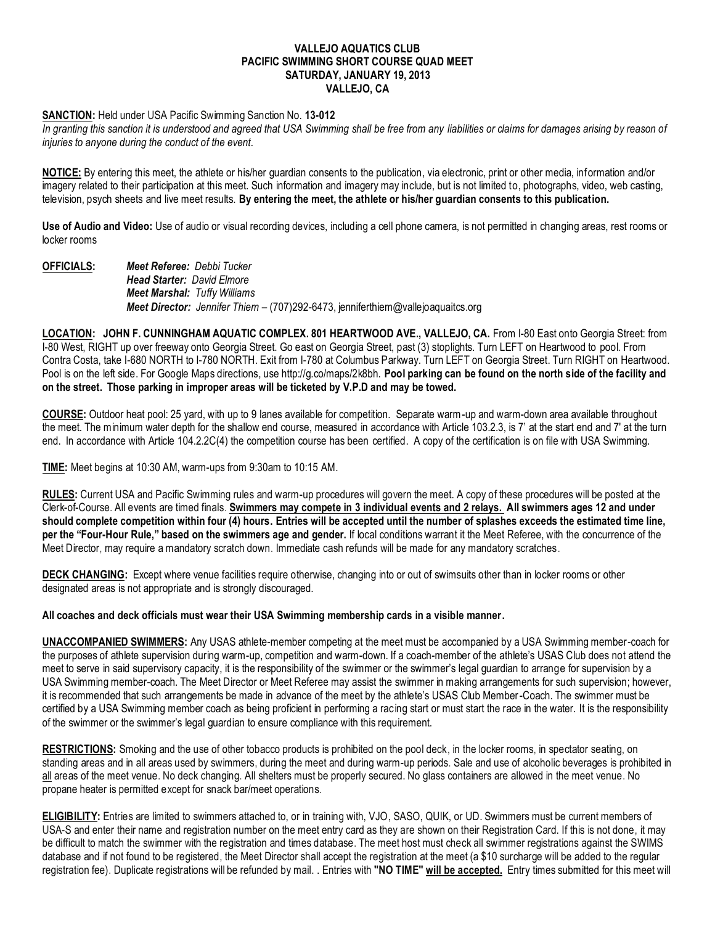# **VALLEJO AQUATICS CLUB PACIFIC SWIMMING SHORT COURSE QUAD MEET SATURDAY, JANUARY 19, 2013 VALLEJO, CA**

## **SANCTION:** Held under USA Pacific Swimming Sanction No. **13-012**

In granting this sanction it is understood and agreed that USA Swimming shall be free from any liabilities or claims for damages arising by reason of *injuries to anyone during the conduct of the event.*

**NOTICE:** By entering this meet, the athlete or his/her guardian consents to the publication, via electronic, print or other media, information and/or imagery related to their participation at this meet. Such information and imagery may include, but is not limited to, photographs, video, web casting, television, psych sheets and live meet results. **By entering the meet, the athlete or his/her guardian consents to this publication.**

**Use of Audio and Video:** Use of audio or visual recording devices, including a cell phone camera, is not permitted in changing areas, rest rooms or locker rooms

**OFFICIALS:** *Meet Referee: Debbi Tucker Head Starter: David Elmore Meet Marshal: Tuffy Williams Meet Director: Jennifer Thiem* – (707)292-6473, jenniferthiem@vallejoaquaitcs.org

**LOCATION: JOHN F. CUNNINGHAM AQUATIC COMPLEX. 801 HEARTWOOD AVE., VALLEJO, CA.** From I-80 East onto Georgia Street: from I-80 West, RIGHT up over freeway onto Georgia Street. Go east on Georgia Street, past (3) stoplights. Turn LEFT on Heartwood to pool. From Contra Costa, take I-680 NORTH to I-780 NORTH. Exit from I-780 at Columbus Parkway. Turn LEFT on Georgia Street. Turn RIGHT on Heartwood. Pool is on the left side. For Google Maps directions, use http://g.co/maps/2k8bh. **Pool parking can be found on the north side of the facility and on the street. Those parking in improper areas will be ticketed by V.P.D and may be towed.**

**COURSE:** Outdoor heat pool: 25 yard, with up to 9 lanes available for competition. Separate warm-up and warm-down area available throughout the meet. The minimum water depth for the shallow end course, measured in accordance with Article 103.2.3, is 7' at the start end and 7' at the turn end. In accordance with Article 104.2.2C(4) the competition course has been certified. A copy of the certification is on file with USA Swimming.

**TIME:** Meet begins at 10:30 AM, warm-ups from 9:30am to 10:15 AM.

**RULES:** Current USA and Pacific Swimming rules and warm-up procedures will govern the meet. A copy of these procedures will be posted at the Clerk-of-Course. All events are timed finals. **Swimmers may compete in 3 individual events and 2 relays. All swimmers ages 12 and under should complete competition within four (4) hours. Entries will be accepted until the number of splashes exceeds the estimated time line, per the "Four-Hour Rule," based on the swimmers age and gender.** If local conditions warrant it the Meet Referee, with the concurrence of the Meet Director, may require a mandatory scratch down. Immediate cash refunds will be made for any mandatory scratches.

**DECK CHANGING:** Except where venue facilities require otherwise, changing into or out of swimsuits other than in locker rooms or other designated areas is not appropriate and is strongly discouraged.

#### **All coaches and deck officials must wear their USA Swimming membership cards in a visible manner.**

**UNACCOMPANIED SWIMMERS:** Any USAS athlete-member competing at the meet must be accompanied by a USA Swimming member-coach for the purposes of athlete supervision during warm-up, competition and warm-down. If a coach-member of the athlete's USAS Club does not attend the meet to serve in said supervisory capacity, it is the responsibility of the swimmer or the swimmer's legal guardian to arrange for supervision by a USA Swimming member-coach. The Meet Director or Meet Referee may assist the swimmer in making arrangements for such supervision; however, it is recommended that such arrangements be made in advance of the meet by the athlete's USAS Club Member-Coach. The swimmer must be certified by a USA Swimming member coach as being proficient in performing a racing start or must start the race in the water. It is the responsibility of the swimmer or the swimmer's legal guardian to ensure compliance with this requirement.

**RESTRICTIONS:** Smoking and the use of other tobacco products is prohibited on the pool deck, in the locker rooms, in spectator seating, on standing areas and in all areas used by swimmers, during the meet and during warm-up periods. Sale and use of alcoholic beverages is prohibited in all areas of the meet venue. No deck changing. All shelters must be properly secured. No glass containers are allowed in the meet venue. No propane heater is permitted except for snack bar/meet operations.

**ELIGIBILITY:** Entries are limited to swimmers attached to, or in training with, VJO, SASO, QUIK, or UD. Swimmers must be current members of USA-S and enter their name and registration number on the meet entry card as they are shown on their Registration Card. If this is not done, it may be difficult to match the swimmer with the registration and times database. The meet host must check all swimmer registrations against the SWIMS database and if not found to be registered, the Meet Director shall accept the registration at the meet (a \$10 surcharge will be added to the regular registration fee). Duplicate registrations will be refunded by mail. . Entries with **"NO TIME" will be accepted.** Entry times submitted for this meet will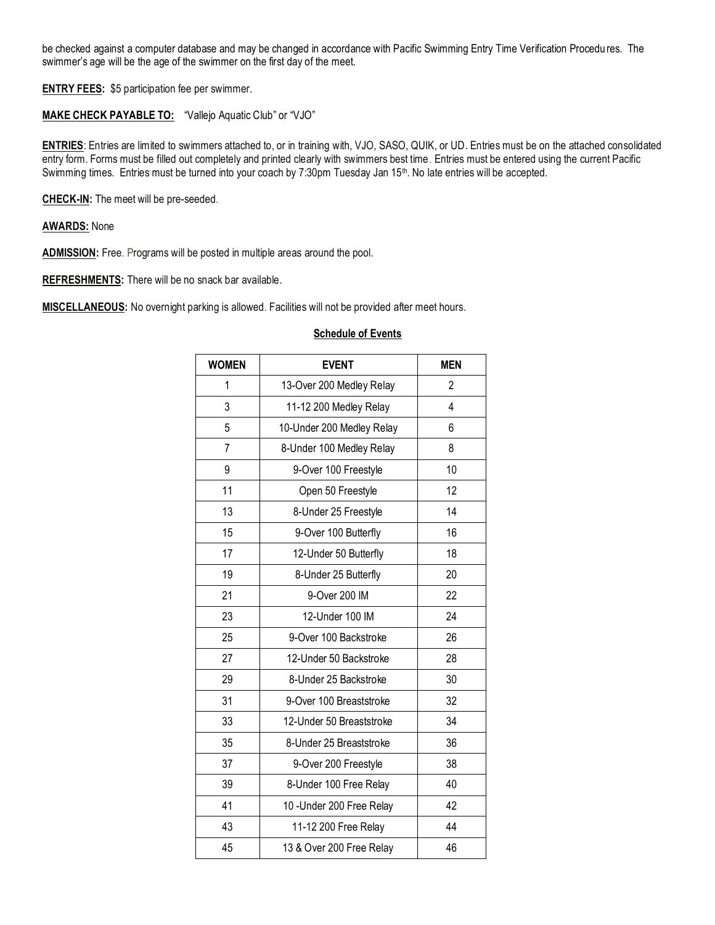be checked against a computer database and may be changed in accordance with Pacific Swimming Entry Time Verification Procedures. The swimmer's age will be the age of the swimmer on the first day of the meet.

**ENTRY FEES:** \$5 participation fee per swimmer.

# **MAKE CHECK PAYABLE TO:** "Vallejo Aquatic Club" or "VJO"

**ENTRIES**: Entries are limited to swimmers attached to, or in training with, VJO, SASO, QUIK, or UD. Entries must be on the attached consolidated entry form. Forms must be filled out completely and printed clearly with swimmers best time. Entries must be entered using the current Pacific Swimming times. Entries must be turned into your coach by 7:30pm Tuesday Jan 15<sup>th</sup>. No late entries will be accepted.

**CHECK-IN:** The meet will be pre-seeded.

**AWARDS:** None

**ADMISSION:** Free. Programs will be posted in multiple areas around the pool.

**REFRESHMENTS:** There will be no snack bar available.

**MISCELLANEOUS:** No overnight parking is allowed. Facilities will not be provided after meet hours.

## **Schedule of Events**

| <b>WOMEN</b> | <b>EVENT</b>              | <b>MEN</b> |  |  |
|--------------|---------------------------|------------|--|--|
| 1            | 13-Over 200 Medley Relay  | 2          |  |  |
| 3            | 11-12 200 Medley Relay    | 4          |  |  |
| 5            | 10-Under 200 Medley Relay | 6          |  |  |
| 7            | 8-Under 100 Medley Relay  | 8          |  |  |
| 9            | 9-Over 100 Freestyle      | 10         |  |  |
| 11           | Open 50 Freestyle         | 12         |  |  |
| 13           | 8-Under 25 Freestyle      | 14         |  |  |
| 15           | 9-Over 100 Butterfly      | 16         |  |  |
| 17           | 12-Under 50 Butterfly     | 18         |  |  |
| 19           | 8-Under 25 Butterfly      | 20         |  |  |
| 21           | 9-Over 200 IM             | 22         |  |  |
| 23           | 12-Under 100 IM           | 24         |  |  |
| 25           | 9-Over 100 Backstroke     | 26         |  |  |
| 27           | 12-Under 50 Backstroke    | 28         |  |  |
| 29           | 8-Under 25 Backstroke     | 30         |  |  |
| 31           | 9-Over 100 Breaststroke   | 32         |  |  |
| 33           | 12-Under 50 Breaststroke  | 34         |  |  |
| 35           | 8-Under 25 Breaststroke   | 36         |  |  |
| 37           | 9-Over 200 Freestyle      | 38         |  |  |
| 39           | 8-Under 100 Free Relay    | 40         |  |  |
| 41           | 10 - Under 200 Free Relay | 42         |  |  |
| 43           | 11-12 200 Free Relay      | 44         |  |  |
| 45           | 13 & Over 200 Free Relay  | 46         |  |  |